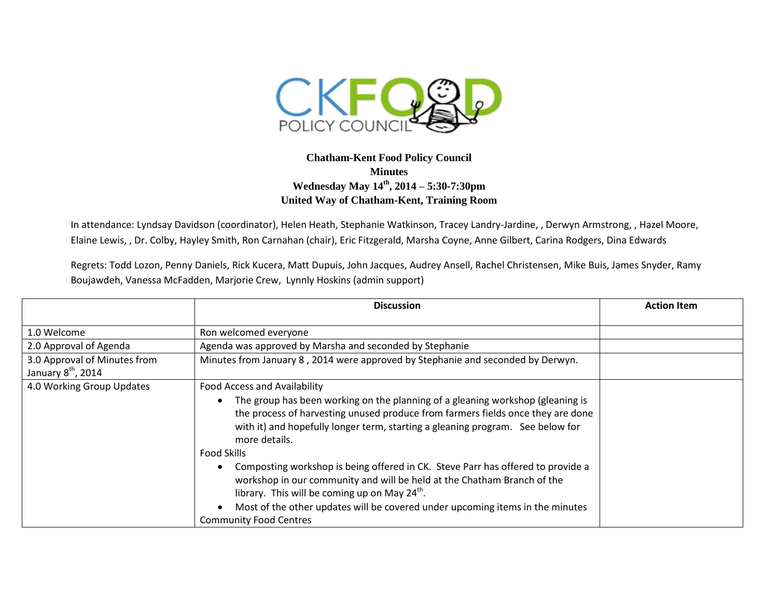

## **Chatham-Kent Food Policy Council Minutes Wednesday May 14th, 2014 – 5:30-7:30pm United Way of Chatham-Kent, Training Room**

In attendance: Lyndsay Davidson (coordinator), Helen Heath, Stephanie Watkinson, Tracey Landry-Jardine, , Derwyn Armstrong, , Hazel Moore, Elaine Lewis, , Dr. Colby, Hayley Smith, Ron Carnahan (chair), Eric Fitzgerald, Marsha Coyne, Anne Gilbert, Carina Rodgers, Dina Edwards

Regrets: Todd Lozon, Penny Daniels, Rick Kucera, Matt Dupuis, John Jacques, Audrey Ansell, Rachel Christensen, Mike Buis, James Snyder, Ramy Boujawdeh, Vanessa McFadden, Marjorie Crew, Lynnly Hoskins (admin support)

|                                                                | <b>Discussion</b>                                                                                                                                                                                                                                                                                                                                                                                                                                                                                                                                                                                                                                                                    | <b>Action Item</b> |
|----------------------------------------------------------------|--------------------------------------------------------------------------------------------------------------------------------------------------------------------------------------------------------------------------------------------------------------------------------------------------------------------------------------------------------------------------------------------------------------------------------------------------------------------------------------------------------------------------------------------------------------------------------------------------------------------------------------------------------------------------------------|--------------------|
| 1.0 Welcome<br>2.0 Approval of Agenda                          | Ron welcomed everyone<br>Agenda was approved by Marsha and seconded by Stephanie                                                                                                                                                                                                                                                                                                                                                                                                                                                                                                                                                                                                     |                    |
| 3.0 Approval of Minutes from<br>January 8 <sup>th</sup> , 2014 | Minutes from January 8, 2014 were approved by Stephanie and seconded by Derwyn.                                                                                                                                                                                                                                                                                                                                                                                                                                                                                                                                                                                                      |                    |
| 4.0 Working Group Updates                                      | Food Access and Availability<br>The group has been working on the planning of a gleaning workshop (gleaning is<br>the process of harvesting unused produce from farmers fields once they are done<br>with it) and hopefully longer term, starting a gleaning program. See below for<br>more details.<br><b>Food Skills</b><br>Composting workshop is being offered in CK. Steve Parr has offered to provide a<br>workshop in our community and will be held at the Chatham Branch of the<br>library. This will be coming up on May 24 <sup>th</sup> .<br>Most of the other updates will be covered under upcoming items in the minutes<br>$\bullet$<br><b>Community Food Centres</b> |                    |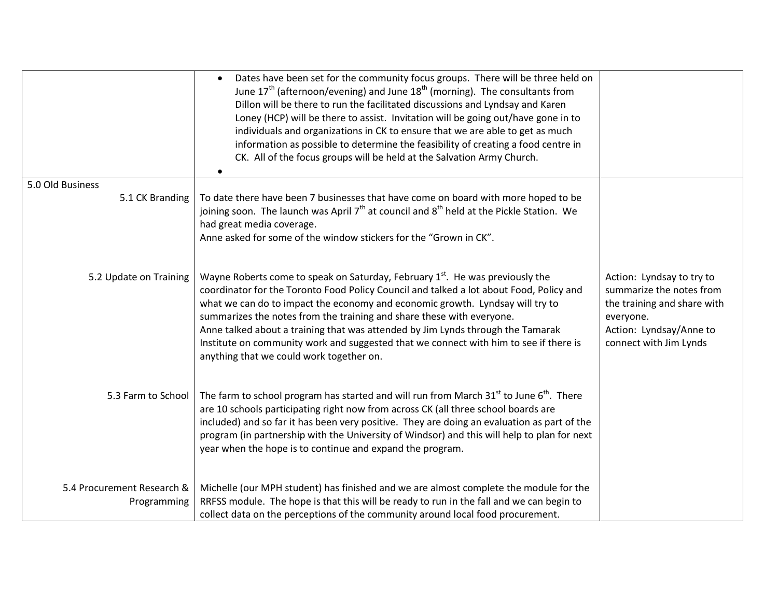|                                           | Dates have been set for the community focus groups. There will be three held on<br>$\bullet$<br>June $17th$ (afternoon/evening) and June $18th$ (morning). The consultants from<br>Dillon will be there to run the facilitated discussions and Lyndsay and Karen<br>Loney (HCP) will be there to assist. Invitation will be going out/have gone in to<br>individuals and organizations in CK to ensure that we are able to get as much<br>information as possible to determine the feasibility of creating a food centre in<br>CK. All of the focus groups will be held at the Salvation Army Church.<br>٠ |                                                                                                                                                        |
|-------------------------------------------|------------------------------------------------------------------------------------------------------------------------------------------------------------------------------------------------------------------------------------------------------------------------------------------------------------------------------------------------------------------------------------------------------------------------------------------------------------------------------------------------------------------------------------------------------------------------------------------------------------|--------------------------------------------------------------------------------------------------------------------------------------------------------|
| 5.0 Old Business                          |                                                                                                                                                                                                                                                                                                                                                                                                                                                                                                                                                                                                            |                                                                                                                                                        |
| 5.1 CK Branding                           | To date there have been 7 businesses that have come on board with more hoped to be<br>joining soon. The launch was April $7th$ at council and $8th$ held at the Pickle Station. We<br>had great media coverage.<br>Anne asked for some of the window stickers for the "Grown in CK".                                                                                                                                                                                                                                                                                                                       |                                                                                                                                                        |
| 5.2 Update on Training                    | Wayne Roberts come to speak on Saturday, February 1 <sup>st</sup> . He was previously the<br>coordinator for the Toronto Food Policy Council and talked a lot about Food, Policy and<br>what we can do to impact the economy and economic growth. Lyndsay will try to<br>summarizes the notes from the training and share these with everyone.<br>Anne talked about a training that was attended by Jim Lynds through the Tamarak<br>Institute on community work and suggested that we connect with him to see if there is<br>anything that we could work together on.                                     | Action: Lyndsay to try to<br>summarize the notes from<br>the training and share with<br>everyone.<br>Action: Lyndsay/Anne to<br>connect with Jim Lynds |
| 5.3 Farm to School                        | The farm to school program has started and will run from March 31 <sup>st</sup> to June 6 <sup>th</sup> . There<br>are 10 schools participating right now from across CK (all three school boards are<br>included) and so far it has been very positive. They are doing an evaluation as part of the<br>program (in partnership with the University of Windsor) and this will help to plan for next<br>year when the hope is to continue and expand the program.                                                                                                                                           |                                                                                                                                                        |
| 5.4 Procurement Research &<br>Programming | Michelle (our MPH student) has finished and we are almost complete the module for the<br>RRFSS module. The hope is that this will be ready to run in the fall and we can begin to<br>collect data on the perceptions of the community around local food procurement.                                                                                                                                                                                                                                                                                                                                       |                                                                                                                                                        |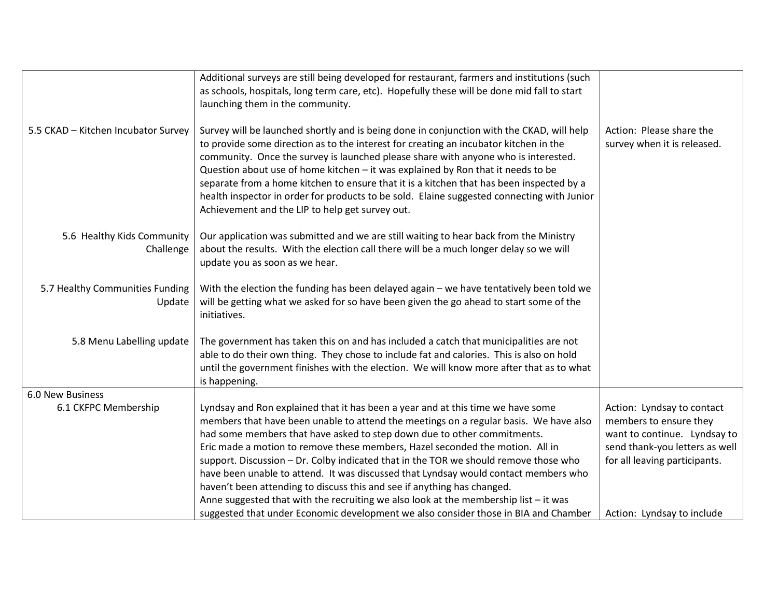|                                           | Additional surveys are still being developed for restaurant, farmers and institutions (such<br>as schools, hospitals, long term care, etc). Hopefully these will be done mid fall to start<br>launching them in the community.                                                                                                                                                                                                                                                                                                                                                                                                                                                         |                                                                                                                                                         |
|-------------------------------------------|----------------------------------------------------------------------------------------------------------------------------------------------------------------------------------------------------------------------------------------------------------------------------------------------------------------------------------------------------------------------------------------------------------------------------------------------------------------------------------------------------------------------------------------------------------------------------------------------------------------------------------------------------------------------------------------|---------------------------------------------------------------------------------------------------------------------------------------------------------|
| 5.5 CKAD - Kitchen Incubator Survey       | Survey will be launched shortly and is being done in conjunction with the CKAD, will help<br>to provide some direction as to the interest for creating an incubator kitchen in the<br>community. Once the survey is launched please share with anyone who is interested.<br>Question about use of home kitchen - it was explained by Ron that it needs to be<br>separate from a home kitchen to ensure that it is a kitchen that has been inspected by a<br>health inspector in order for products to be sold. Elaine suggested connecting with Junior<br>Achievement and the LIP to help get survey out.                                                                              | Action: Please share the<br>survey when it is released.                                                                                                 |
| 5.6 Healthy Kids Community<br>Challenge   | Our application was submitted and we are still waiting to hear back from the Ministry<br>about the results. With the election call there will be a much longer delay so we will<br>update you as soon as we hear.                                                                                                                                                                                                                                                                                                                                                                                                                                                                      |                                                                                                                                                         |
| 5.7 Healthy Communities Funding<br>Update | With the election the funding has been delayed again - we have tentatively been told we<br>will be getting what we asked for so have been given the go ahead to start some of the<br>initiatives.                                                                                                                                                                                                                                                                                                                                                                                                                                                                                      |                                                                                                                                                         |
| 5.8 Menu Labelling update                 | The government has taken this on and has included a catch that municipalities are not<br>able to do their own thing. They chose to include fat and calories. This is also on hold<br>until the government finishes with the election. We will know more after that as to what<br>is happening.                                                                                                                                                                                                                                                                                                                                                                                         |                                                                                                                                                         |
| 6.0 New Business                          |                                                                                                                                                                                                                                                                                                                                                                                                                                                                                                                                                                                                                                                                                        |                                                                                                                                                         |
| 6.1 CKFPC Membership                      | Lyndsay and Ron explained that it has been a year and at this time we have some<br>members that have been unable to attend the meetings on a regular basis. We have also<br>had some members that have asked to step down due to other commitments.<br>Eric made a motion to remove these members, Hazel seconded the motion. All in<br>support. Discussion - Dr. Colby indicated that in the TOR we should remove those who<br>have been unable to attend. It was discussed that Lyndsay would contact members who<br>haven't been attending to discuss this and see if anything has changed.<br>Anne suggested that with the recruiting we also look at the membership list - it was | Action: Lyndsay to contact<br>members to ensure they<br>want to continue. Lyndsay to<br>send thank-you letters as well<br>for all leaving participants. |
|                                           | suggested that under Economic development we also consider those in BIA and Chamber                                                                                                                                                                                                                                                                                                                                                                                                                                                                                                                                                                                                    | Action: Lyndsay to include                                                                                                                              |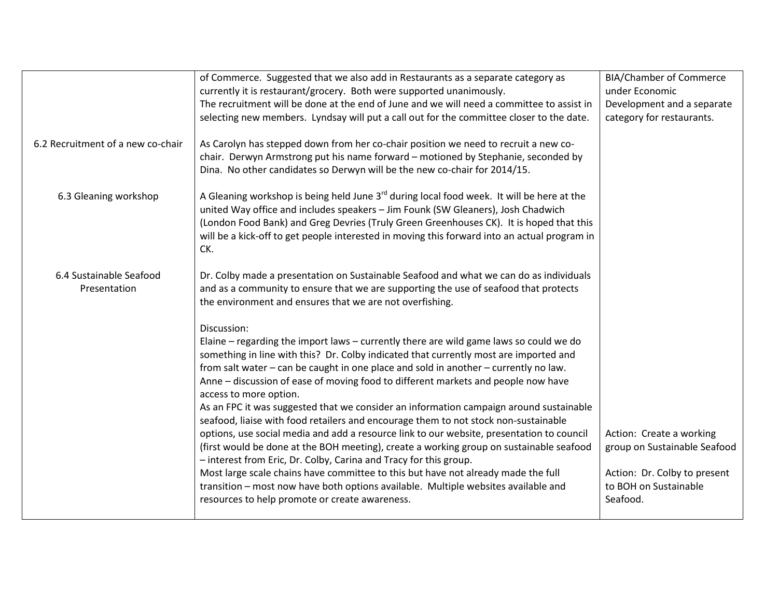|                                         | of Commerce. Suggested that we also add in Restaurants as a separate category as<br>currently it is restaurant/grocery. Both were supported unanimously.<br>The recruitment will be done at the end of June and we will need a committee to assist in<br>selecting new members. Lyndsay will put a call out for the committee closer to the date.                                                                                                                                                                                                                                                                                                                                                                                                                                                                                                                                                                                                                                                                                                                                | <b>BIA/Chamber of Commerce</b><br>under Economic<br>Development and a separate<br>category for restaurants.                   |
|-----------------------------------------|----------------------------------------------------------------------------------------------------------------------------------------------------------------------------------------------------------------------------------------------------------------------------------------------------------------------------------------------------------------------------------------------------------------------------------------------------------------------------------------------------------------------------------------------------------------------------------------------------------------------------------------------------------------------------------------------------------------------------------------------------------------------------------------------------------------------------------------------------------------------------------------------------------------------------------------------------------------------------------------------------------------------------------------------------------------------------------|-------------------------------------------------------------------------------------------------------------------------------|
| 6.2 Recruitment of a new co-chair       | As Carolyn has stepped down from her co-chair position we need to recruit a new co-<br>chair. Derwyn Armstrong put his name forward - motioned by Stephanie, seconded by<br>Dina. No other candidates so Derwyn will be the new co-chair for 2014/15.                                                                                                                                                                                                                                                                                                                                                                                                                                                                                                                                                                                                                                                                                                                                                                                                                            |                                                                                                                               |
| 6.3 Gleaning workshop                   | A Gleaning workshop is being held June $3rd$ during local food week. It will be here at the<br>united Way office and includes speakers - Jim Founk (SW Gleaners), Josh Chadwich<br>(London Food Bank) and Greg Devries (Truly Green Greenhouses CK). It is hoped that this<br>will be a kick-off to get people interested in moving this forward into an actual program in<br>CK.                                                                                                                                                                                                                                                                                                                                                                                                                                                                                                                                                                                                                                                                                                |                                                                                                                               |
| 6.4 Sustainable Seafood<br>Presentation | Dr. Colby made a presentation on Sustainable Seafood and what we can do as individuals<br>and as a community to ensure that we are supporting the use of seafood that protects<br>the environment and ensures that we are not overfishing.                                                                                                                                                                                                                                                                                                                                                                                                                                                                                                                                                                                                                                                                                                                                                                                                                                       |                                                                                                                               |
|                                         | Discussion:<br>Elaine – regarding the import laws – currently there are wild game laws so could we do<br>something in line with this? Dr. Colby indicated that currently most are imported and<br>from salt water - can be caught in one place and sold in another - currently no law.<br>Anne - discussion of ease of moving food to different markets and people now have<br>access to more option.<br>As an FPC it was suggested that we consider an information campaign around sustainable<br>seafood, liaise with food retailers and encourage them to not stock non-sustainable<br>options, use social media and add a resource link to our website, presentation to council<br>(first would be done at the BOH meeting), create a working group on sustainable seafood<br>- interest from Eric, Dr. Colby, Carina and Tracy for this group.<br>Most large scale chains have committee to this but have not already made the full<br>transition - most now have both options available. Multiple websites available and<br>resources to help promote or create awareness. | Action: Create a working<br>group on Sustainable Seafood<br>Action: Dr. Colby to present<br>to BOH on Sustainable<br>Seafood. |